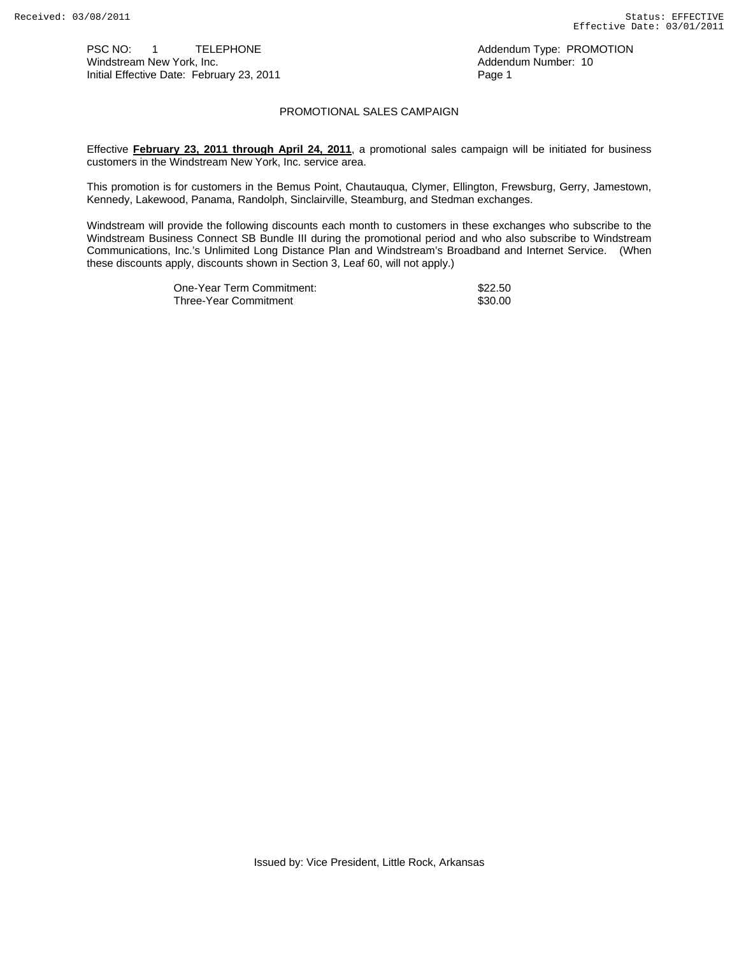PSC NO: 1 TELEPHONE CONSIDERING Addendum Type: PROMOTION<br>
Windstream New York, Inc. Consider the Constant of the Addendum Number: 10 Windstream New York, Inc. Addendum Number: 10 Initial Effective Date: February 23, 2011

## PROMOTIONAL SALES CAMPAIGN

Effective **February 23, 2011 through April 24, 2011**, a promotional sales campaign will be initiated for business customers in the Windstream New York, Inc. service area.

This promotion is for customers in the Bemus Point, Chautauqua, Clymer, Ellington, Frewsburg, Gerry, Jamestown, Kennedy, Lakewood, Panama, Randolph, Sinclairville, Steamburg, and Stedman exchanges.

Windstream will provide the following discounts each month to customers in these exchanges who subscribe to the Windstream Business Connect SB Bundle III during the promotional period and who also subscribe to Windstream Communications, Inc.'s Unlimited Long Distance Plan and Windstream's Broadband and Internet Service. (When these discounts apply, discounts shown in Section 3, Leaf 60, will not apply.)

| One-Year Term Commitment: | \$22.50 |
|---------------------------|---------|
| Three-Year Commitment     | \$30.00 |